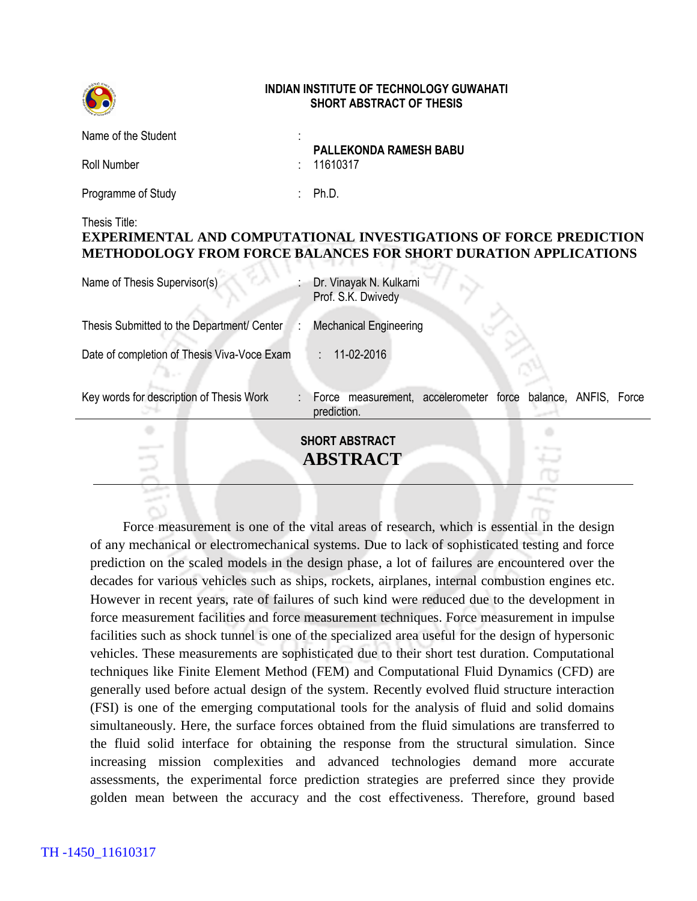

## **INDIAN INSTITUTE OF TECHNOLOGY GUWAHATI SHORT ABSTRACT OF THESIS**

| Name of the Student | ٠ | <b>PALLEKONDA RAMESH BABU</b> |
|---------------------|---|-------------------------------|
| Roll Number         |   | : 11610317                    |
| Programme of Study  |   | Ph.D.                         |

## Thesis Title:

## **EXPERIMENTAL AND COMPUTATIONAL INVESTIGATIONS OF FORCE PREDICTION METHODOLOGY FROM FORCE BALANCES FOR SHORT DURATION APPLICATIONS**

| Name of Thesis Supervisor(s)                | Dr. Vinayak N. Kulkarni<br>Prof. S.K. Dwivedy                               |
|---------------------------------------------|-----------------------------------------------------------------------------|
| Thesis Submitted to the Department/ Center  | <b>Mechanical Engineering</b>                                               |
| Date of completion of Thesis Viva-Voce Exam | 11-02-2016                                                                  |
| Key words for description of Thesis Work    | Force measurement, accelerometer force balance, ANFIS, Force<br>prediction. |
|                                             | <b>SHORT ABSTRACT</b><br>ABSTRACT                                           |

Force measurement is one of the vital areas of research, which is essential in the design of any mechanical or electromechanical systems. Due to lack of sophisticated testing and force prediction on the scaled models in the design phase, a lot of failures are encountered over the decades for various vehicles such as ships, rockets, airplanes, internal combustion engines etc. However in recent years, rate of failures of such kind were reduced due to the development in force measurement facilities and force measurement techniques. Force measurement in impulse facilities such as shock tunnel is one of the specialized area useful for the design of hypersonic vehicles. These measurements are sophisticated due to their short test duration. Computational techniques like Finite Element Method (FEM) and Computational Fluid Dynamics (CFD) are generally used before actual design of the system. Recently evolved fluid structure interaction (FSI) is one of the emerging computational tools for the analysis of fluid and solid domains simultaneously. Here, the surface forces obtained from the fluid simulations are transferred to the fluid solid interface for obtaining the response from the structural simulation. Since increasing mission complexities and advanced technologies demand more accurate assessments, the experimental force prediction strategies are preferred since they provide golden mean between the accuracy and the cost effectiveness. Therefore, ground based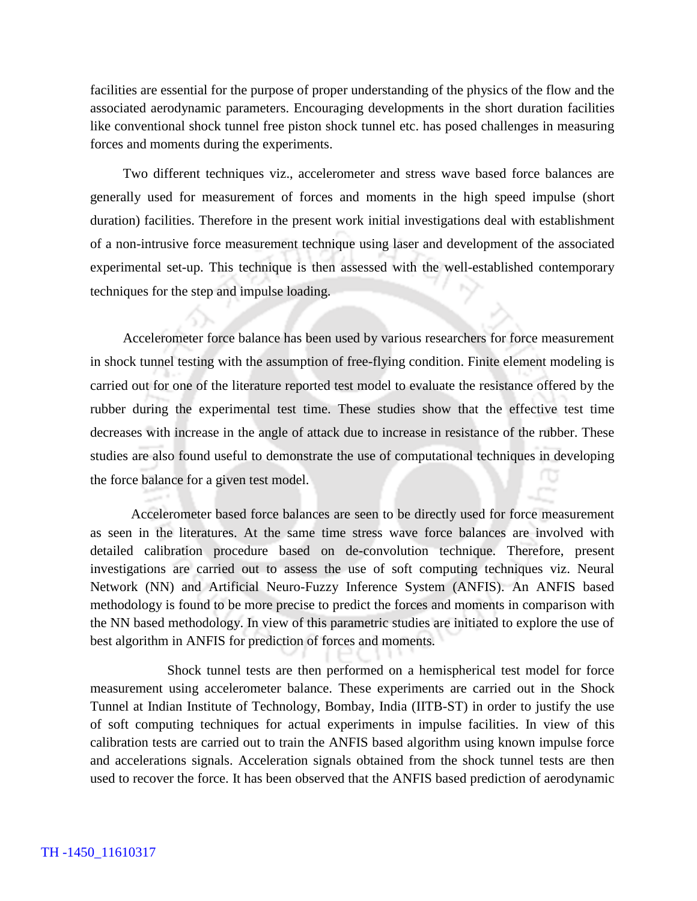facilities are essential for the purpose of proper understanding of the physics of the flow and the associated aerodynamic parameters. Encouraging developments in the short duration facilities like conventional shock tunnel free piston shock tunnel etc. has posed challenges in measuring forces and moments during the experiments.

Two different techniques viz., accelerometer and stress wave based force balances are generally used for measurement of forces and moments in the high speed impulse (short duration) facilities. Therefore in the present work initial investigations deal with establishment of a non-intrusive force measurement technique using laser and development of the associated experimental set-up. This technique is then assessed with the well-established contemporary techniques for the step and impulse loading.

Accelerometer force balance has been used by various researchers for force measurement in shock tunnel testing with the assumption of free-flying condition. Finite element modeling is carried out for one of the literature reported test model to evaluate the resistance offered by the rubber during the experimental test time. These studies show that the effective test time decreases with increase in the angle of attack due to increase in resistance of the rubber. These studies are also found useful to demonstrate the use of computational techniques in developing the force balance for a given test model.

Accelerometer based force balances are seen to be directly used for force measurement as seen in the literatures. At the same time stress wave force balances are involved with detailed calibration procedure based on de-convolution technique. Therefore, present investigations are carried out to assess the use of soft computing techniques viz. Neural Network (NN) and Artificial Neuro-Fuzzy Inference System (ANFIS). An ANFIS based methodology is found to be more precise to predict the forces and moments in comparison with the NN based methodology. In view of this parametric studies are initiated to explore the use of best algorithm in ANFIS for prediction of forces and moments.

Shock tunnel tests are then performed on a hemispherical test model for force measurement using accelerometer balance. These experiments are carried out in the Shock Tunnel at Indian Institute of Technology, Bombay, India (IITB-ST) in order to justify the use of soft computing techniques for actual experiments in impulse facilities. In view of this calibration tests are carried out to train the ANFIS based algorithm using known impulse force and accelerations signals. Acceleration signals obtained from the shock tunnel tests are then used to recover the force. It has been observed that the ANFIS based prediction of aerodynamic